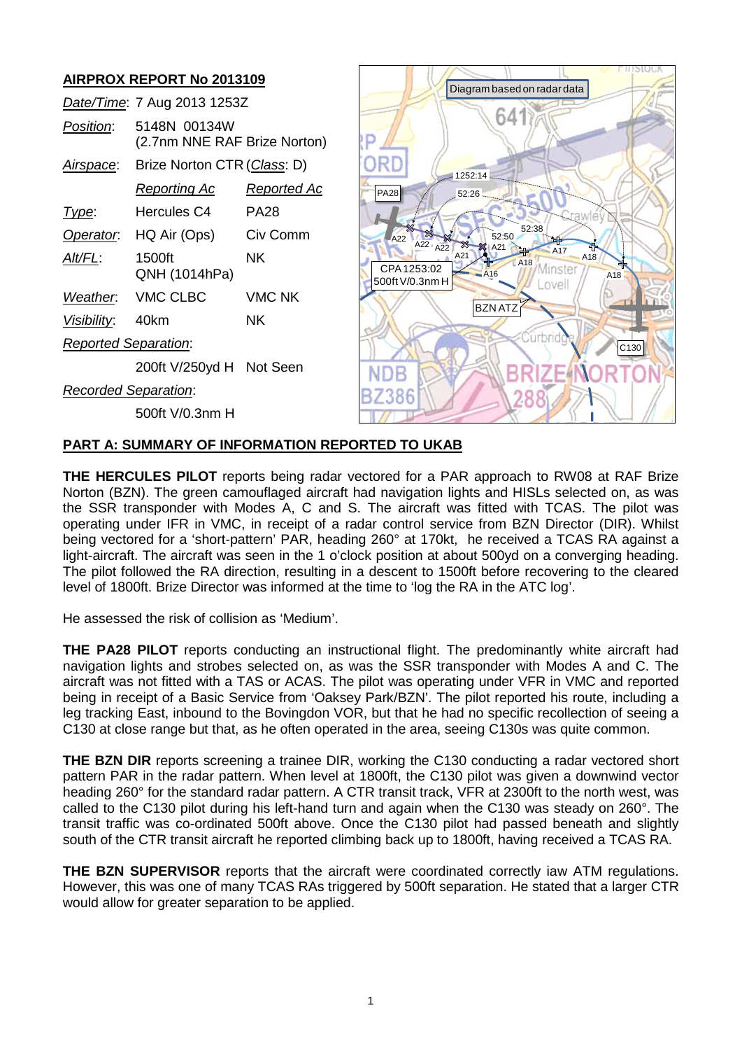# **AIRPROX REPORT No 2013109**

|                             | Date/Time: 7 Aug 2013 1253Z                  |                    |  |
|-----------------------------|----------------------------------------------|--------------------|--|
| Position:                   | 5148N 00134W<br>(2.7nm NNE RAF Brize Norton) |                    |  |
| Airspace:                   | Brize Norton CTR (Class: D)                  |                    |  |
|                             | <u>Reporting Ac</u>                          | <u>Reported Ac</u> |  |
| l ype:                      | Hercules C4                                  | PA28               |  |
| Operator.                   | HQ Air (Ops)                                 | Civ Comm           |  |
| Alt/FL:                     | 1500ft<br>QNH (1014hPa)                      | ΝK                 |  |
|                             | Weather. VMC CLBC                            | <b>VMC NK</b>      |  |
| Visibility: 40km            |                                              | ΝK                 |  |
| <b>Reported Separation:</b> |                                              |                    |  |
|                             | 200ft V/250yd H Not Seen                     |                    |  |
| Recorded Separation:        |                                              |                    |  |

500ft V/0.3nm H



### **PART A: SUMMARY OF INFORMATION REPORTED TO UKAB**

**THE HERCULES PILOT** reports being radar vectored for a PAR approach to RW08 at RAF Brize Norton (BZN). The green camouflaged aircraft had navigation lights and HISLs selected on, as was the SSR transponder with Modes A, C and S. The aircraft was fitted with TCAS. The pilot was operating under IFR in VMC, in receipt of a radar control service from BZN Director (DIR). Whilst being vectored for a 'short-pattern' PAR, heading 260° at 170kt, he received a TCAS RA against a light-aircraft. The aircraft was seen in the 1 o'clock position at about 500yd on a converging heading. The pilot followed the RA direction, resulting in a descent to 1500ft before recovering to the cleared level of 1800ft. Brize Director was informed at the time to 'log the RA in the ATC log'.

He assessed the risk of collision as 'Medium'.

**THE PA28 PILOT** reports conducting an instructional flight. The predominantly white aircraft had navigation lights and strobes selected on, as was the SSR transponder with Modes A and C. The aircraft was not fitted with a TAS or ACAS. The pilot was operating under VFR in VMC and reported being in receipt of a Basic Service from 'Oaksey Park/BZN'. The pilot reported his route, including a leg tracking East, inbound to the Bovingdon VOR, but that he had no specific recollection of seeing a C130 at close range but that, as he often operated in the area, seeing C130s was quite common.

**THE BZN DIR** reports screening a trainee DIR, working the C130 conducting a radar vectored short pattern PAR in the radar pattern. When level at 1800ft, the C130 pilot was given a downwind vector heading 260° for the standard radar pattern. A CTR transit track, VFR at 2300ft to the north west, was called to the C130 pilot during his left-hand turn and again when the C130 was steady on 260°. The transit traffic was co-ordinated 500ft above. Once the C130 pilot had passed beneath and slightly south of the CTR transit aircraft he reported climbing back up to 1800ft, having received a TCAS RA.

**THE BZN SUPERVISOR** reports that the aircraft were coordinated correctly iaw ATM regulations. However, this was one of many TCAS RAs triggered by 500ft separation. He stated that a larger CTR would allow for greater separation to be applied.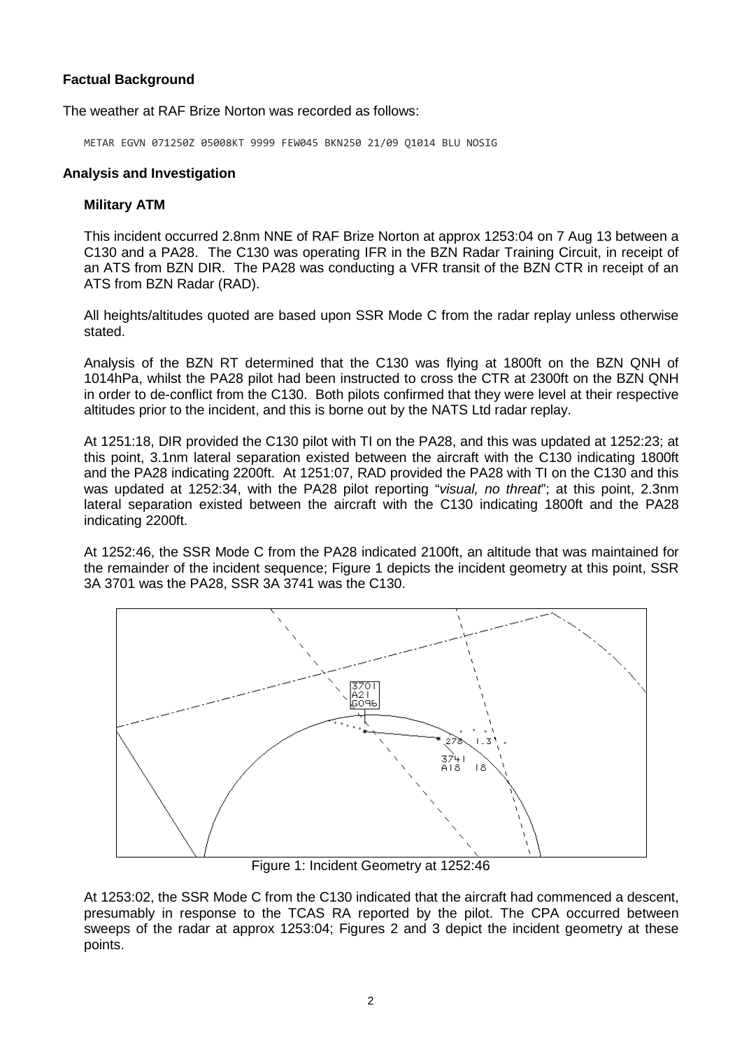# **Factual Background**

The weather at RAF Brize Norton was recorded as follows:

METAR EGVN 071250Z 05008KT 9999 FEW045 BKN250 21/09 Q1014 BLU NOSIG

## **Analysis and Investigation**

## **Military ATM**

This incident occurred 2.8nm NNE of RAF Brize Norton at approx 1253:04 on 7 Aug 13 between a C130 and a PA28. The C130 was operating IFR in the BZN Radar Training Circuit, in receipt of an ATS from BZN DIR. The PA28 was conducting a VFR transit of the BZN CTR in receipt of an ATS from BZN Radar (RAD).

All heights/altitudes quoted are based upon SSR Mode C from the radar replay unless otherwise stated.

Analysis of the BZN RT determined that the C130 was flying at 1800ft on the BZN QNH of 1014hPa, whilst the PA28 pilot had been instructed to cross the CTR at 2300ft on the BZN QNH in order to de-conflict from the C130. Both pilots confirmed that they were level at their respective altitudes prior to the incident, and this is borne out by the NATS Ltd radar replay.

At 1251:18, DIR provided the C130 pilot with TI on the PA28, and this was updated at 1252:23; at this point, 3.1nm lateral separation existed between the aircraft with the C130 indicating 1800ft and the PA28 indicating 2200ft. At 1251:07, RAD provided the PA28 with TI on the C130 and this was updated at 1252:34, with the PA28 pilot reporting "*visual, no threat*"; at this point, 2.3nm lateral separation existed between the aircraft with the C130 indicating 1800ft and the PA28 indicating 2200ft.

At 1252:46, the SSR Mode C from the PA28 indicated 2100ft, an altitude that was maintained for the remainder of the incident sequence; Figure 1 depicts the incident geometry at this point, SSR 3A 3701 was the PA28, SSR 3A 3741 was the C130.



Figure 1: Incident Geometry at 1252:46

At 1253:02, the SSR Mode C from the C130 indicated that the aircraft had commenced a descent, presumably in response to the TCAS RA reported by the pilot. The CPA occurred between sweeps of the radar at approx 1253:04; Figures 2 and 3 depict the incident geometry at these points.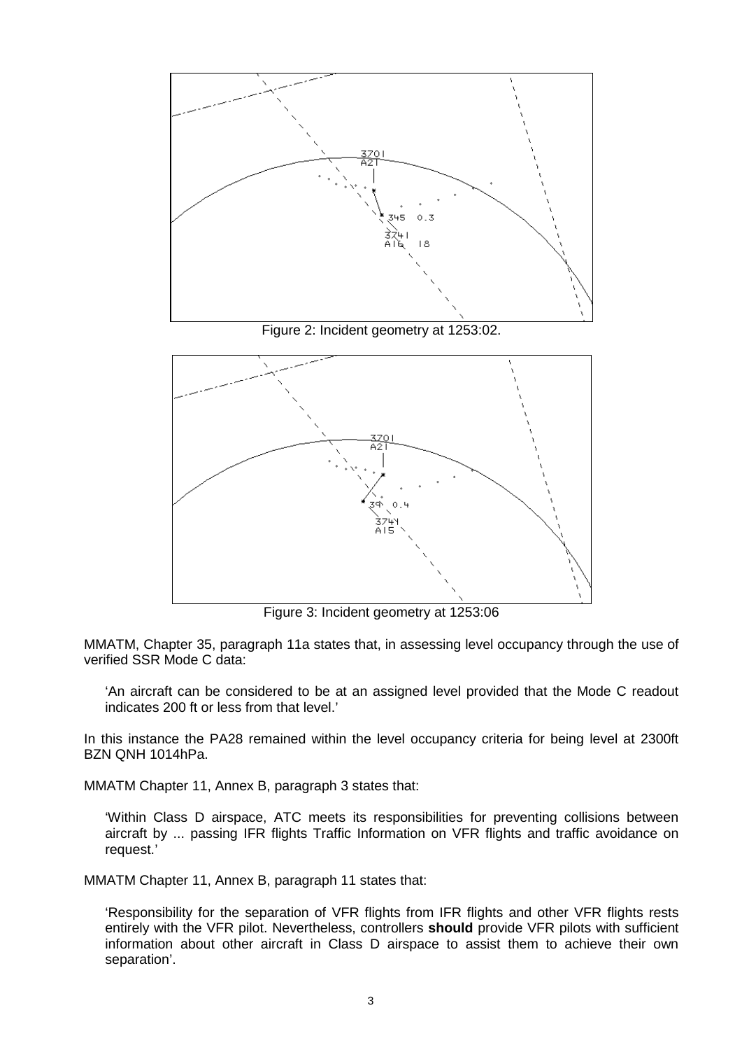

Figure 3: Incident geometry at 1253:06

MMATM, Chapter 35, paragraph 11a states that, in assessing level occupancy through the use of verified SSR Mode C data:

'An aircraft can be considered to be at an assigned level provided that the Mode C readout indicates 200 ft or less from that level.'

In this instance the PA28 remained within the level occupancy criteria for being level at 2300ft BZN QNH 1014hPa.

MMATM Chapter 11, Annex B, paragraph 3 states that:

'Within Class D airspace, ATC meets its responsibilities for preventing collisions between aircraft by ... passing IFR flights Traffic Information on VFR flights and traffic avoidance on request.'

MMATM Chapter 11, Annex B, paragraph 11 states that:

'Responsibility for the separation of VFR flights from IFR flights and other VFR flights rests entirely with the VFR pilot. Nevertheless, controllers **should** provide VFR pilots with sufficient information about other aircraft in Class D airspace to assist them to achieve their own separation'.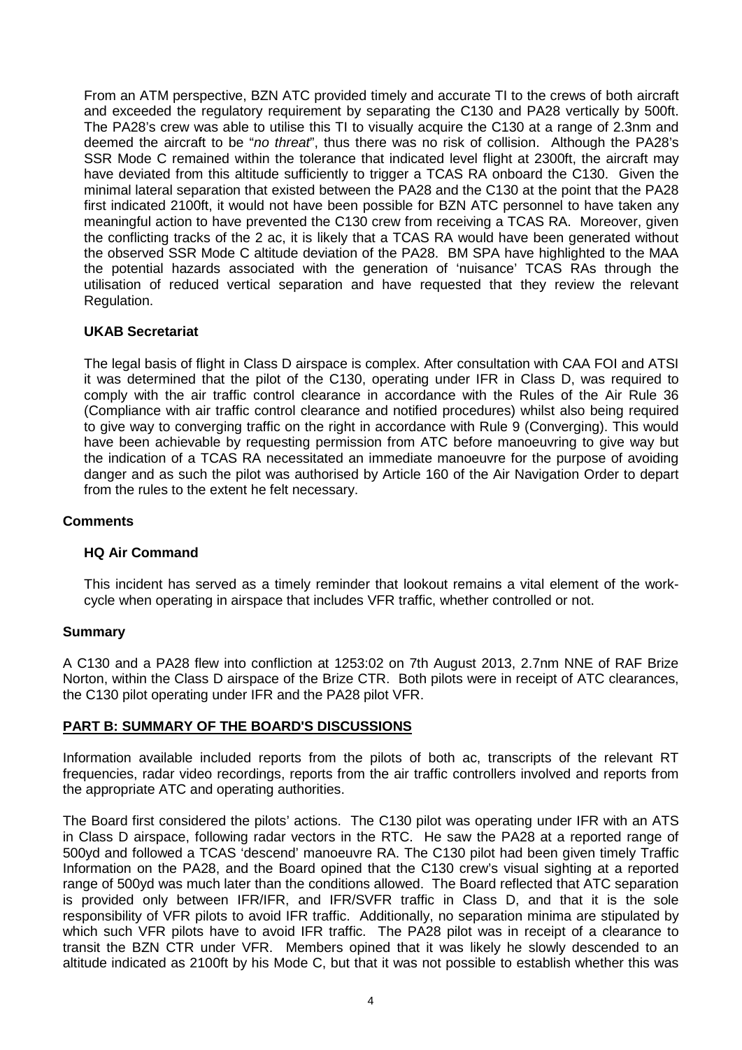From an ATM perspective, BZN ATC provided timely and accurate TI to the crews of both aircraft and exceeded the regulatory requirement by separating the C130 and PA28 vertically by 500ft. The PA28's crew was able to utilise this TI to visually acquire the C130 at a range of 2.3nm and deemed the aircraft to be "*no threat*", thus there was no risk of collision. Although the PA28's SSR Mode C remained within the tolerance that indicated level flight at 2300ft, the aircraft may have deviated from this altitude sufficiently to trigger a TCAS RA onboard the C130. Given the minimal lateral separation that existed between the PA28 and the C130 at the point that the PA28 first indicated 2100ft, it would not have been possible for BZN ATC personnel to have taken any meaningful action to have prevented the C130 crew from receiving a TCAS RA. Moreover, given the conflicting tracks of the 2 ac, it is likely that a TCAS RA would have been generated without the observed SSR Mode C altitude deviation of the PA28. BM SPA have highlighted to the MAA the potential hazards associated with the generation of 'nuisance' TCAS RAs through the utilisation of reduced vertical separation and have requested that they review the relevant Regulation.

# **UKAB Secretariat**

The legal basis of flight in Class D airspace is complex. After consultation with CAA FOI and ATSI it was determined that the pilot of the C130, operating under IFR in Class D, was required to comply with the air traffic control clearance in accordance with the Rules of the Air Rule 36 (Compliance with air traffic control clearance and notified procedures) whilst also being required to give way to converging traffic on the right in accordance with Rule 9 (Converging). This would have been achievable by requesting permission from ATC before manoeuvring to give way but the indication of a TCAS RA necessitated an immediate manoeuvre for the purpose of avoiding danger and as such the pilot was authorised by Article 160 of the Air Navigation Order to depart from the rules to the extent he felt necessary.

### **Comments**

### **HQ Air Command**

This incident has served as a timely reminder that lookout remains a vital element of the workcycle when operating in airspace that includes VFR traffic, whether controlled or not.

### **Summary**

A C130 and a PA28 flew into confliction at 1253:02 on 7th August 2013, 2.7nm NNE of RAF Brize Norton, within the Class D airspace of the Brize CTR. Both pilots were in receipt of ATC clearances, the C130 pilot operating under IFR and the PA28 pilot VFR.

# **PART B: SUMMARY OF THE BOARD'S DISCUSSIONS**

Information available included reports from the pilots of both ac, transcripts of the relevant RT frequencies, radar video recordings, reports from the air traffic controllers involved and reports from the appropriate ATC and operating authorities.

The Board first considered the pilots' actions. The C130 pilot was operating under IFR with an ATS in Class D airspace, following radar vectors in the RTC. He saw the PA28 at a reported range of 500yd and followed a TCAS 'descend' manoeuvre RA. The C130 pilot had been given timely Traffic Information on the PA28, and the Board opined that the C130 crew's visual sighting at a reported range of 500yd was much later than the conditions allowed. The Board reflected that ATC separation is provided only between IFR/IFR, and IFR/SVFR traffic in Class D, and that it is the sole responsibility of VFR pilots to avoid IFR traffic. Additionally, no separation minima are stipulated by which such VFR pilots have to avoid IFR traffic. The PA28 pilot was in receipt of a clearance to transit the BZN CTR under VFR. Members opined that it was likely he slowly descended to an altitude indicated as 2100ft by his Mode C, but that it was not possible to establish whether this was